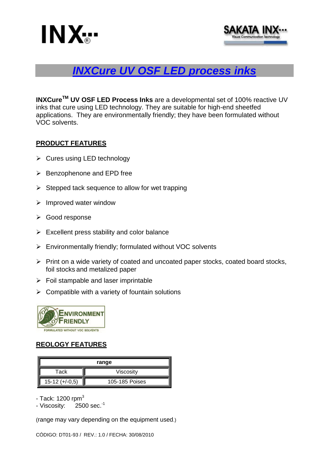



# *INXCure UV OSF LED process inks*

**INXCureTM UV OSF LED Process Inks** are a developmental set of 100% reactive UV inks that cure using LED technology. They are suitable for high-end sheetfed applications. They are environmentally friendly; they have been formulated without VOC solvents.

### **PRODUCT FEATURES**

- $\triangleright$  Cures using LED technology
- $\triangleright$  Benzophenone and EPD free
- $\triangleright$  Stepped tack sequence to allow for wet trapping
- $\triangleright$  Improved water window
- Good response
- $\triangleright$  Excellent press stability and color balance
- Environmentally friendly; formulated without VOC solvents
- $\triangleright$  Print on a wide variety of coated and uncoated paper stocks, coated board stocks, foil stocks and metalized paper
- $\triangleright$  Foil stampable and laser imprintable
- $\triangleright$  Compatible with a variety of fountain solutions



### **REOLOGY FEATURES**

| range            |                |
|------------------|----------------|
| Tack             | Viscosity      |
| $15-12 (+/-0.5)$ | 105-185 Poises |

- Tack:  $1200$  rpm $<sup>3</sup>$ </sup>

 $-$  Viscosity:  $2500$  sec.<sup>-1</sup>

(range may vary depending on the equipment used.)